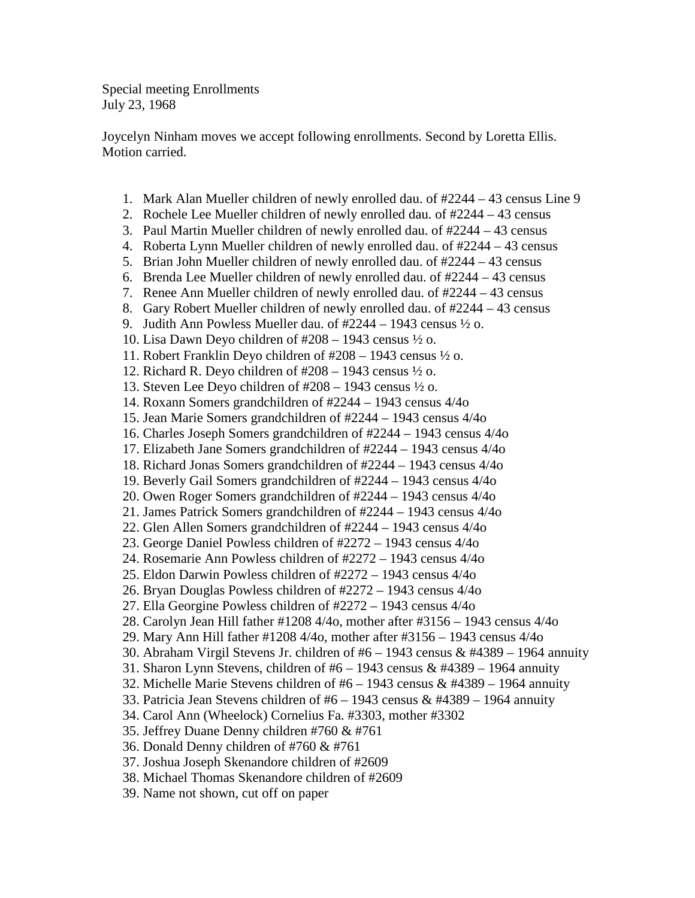Special meeting Enrollments July 23, 1968

Joycelyn Ninham moves we accept following enrollments. Second by Loretta Ellis. Motion carried.

- 1. Mark Alan Mueller children of newly enrolled dau. of #2244 43 census Line 9
- 2. Rochele Lee Mueller children of newly enrolled dau. of #2244 43 census
- 3. Paul Martin Mueller children of newly enrolled dau. of #2244 43 census
- 4. Roberta Lynn Mueller children of newly enrolled dau. of #2244 43 census
- 5. Brian John Mueller children of newly enrolled dau. of #2244 43 census
- 6. Brenda Lee Mueller children of newly enrolled dau. of #2244 43 census
- 7. Renee Ann Mueller children of newly enrolled dau. of #2244 43 census
- 8. Gary Robert Mueller children of newly enrolled dau. of #2244 43 census
- 9. Judith Ann Powless Mueller dau. of  $\#2244 1943$  census  $\frac{1}{2}$  o.
- 10. Lisa Dawn Deyo children of  $\text{\#208} 1943$  census  $\frac{1}{2}$  o.
- 11. Robert Franklin Deyo children of #208 1943 census ½ o.
- 12. Richard R. Deyo children of  $\#208 1943$  census  $\frac{1}{2}$  o.
- 13. Steven Lee Deyo children of #208 1943 census ½ o.
- 14. Roxann Somers grandchildren of #2244 1943 census 4/4o
- 15. Jean Marie Somers grandchildren of #2244 1943 census 4/4o
- 16. Charles Joseph Somers grandchildren of #2244 1943 census 4/4o
- 17. Elizabeth Jane Somers grandchildren of #2244 1943 census 4/4o
- 18. Richard Jonas Somers grandchildren of #2244 1943 census 4/4o
- 19. Beverly Gail Somers grandchildren of #2244 1943 census 4/4o
- 20. Owen Roger Somers grandchildren of #2244 1943 census 4/4o
- 21. James Patrick Somers grandchildren of #2244 1943 census 4/4o
- 22. Glen Allen Somers grandchildren of #2244 1943 census 4/4o
- 23. George Daniel Powless children of #2272 1943 census 4/4o
- 24. Rosemarie Ann Powless children of #2272 1943 census 4/4o
- 25. Eldon Darwin Powless children of #2272 1943 census 4/4o
- 26. Bryan Douglas Powless children of #2272 1943 census 4/4o
- 27. Ella Georgine Powless children of #2272 1943 census 4/4o
- 28. Carolyn Jean Hill father #1208 4/4o, mother after #3156 1943 census 4/4o
- 29. Mary Ann Hill father #1208 4/4o, mother after #3156 1943 census 4/4o
- 30. Abraham Virgil Stevens Jr. children of #6 1943 census & #4389 1964 annuity
- 31. Sharon Lynn Stevens, children of  $#6 1943$  census &  $#4389 1964$  annuity
- 32. Michelle Marie Stevens children of  $#6 1943$  census &  $#4389 1964$  annuity
- 33. Patricia Jean Stevens children of  $#6 1943$  census &  $#4389 1964$  annuity
- 34. Carol Ann (Wheelock) Cornelius Fa. #3303, mother #3302
- 35. Jeffrey Duane Denny children #760 & #761
- 36. Donald Denny children of #760 & #761
- 37. Joshua Joseph Skenandore children of #2609
- 38. Michael Thomas Skenandore children of #2609
- 39. Name not shown, cut off on paper